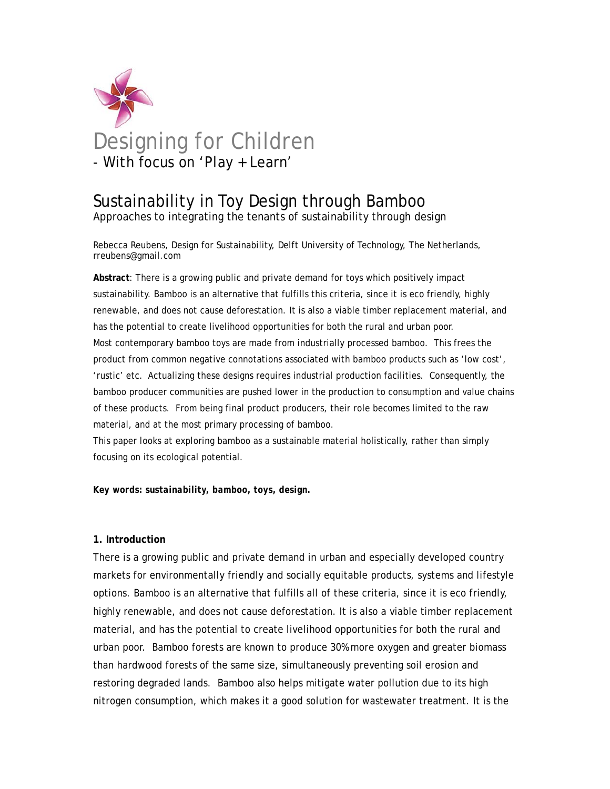

# Sustainability in Toy Design through Bamboo

Approaches to integrating the tenants of sustainability through design

Rebecca Reubens, Design for Sustainability, Delft University of Technology, The Netherlands, rreubens@gmail.com

**Abstract**: There is a growing public and private demand for toys which positively impact sustainability. Bamboo is an alternative that fulfills this criteria, since it is eco friendly, highly renewable, and does not cause deforestation. It is also a viable timber replacement material, and has the potential to create livelihood opportunities for both the rural and urban poor. Most contemporary bamboo toys are made from industrially processed bamboo. This frees the product from common negative connotations associated with bamboo products such as 'low cost', 'rustic' etc. Actualizing these designs requires industrial production facilities. Consequently, the bamboo producer communities are pushed lower in the production to consumption and value chains of these products. From being final product producers, their role becomes limited to the raw material, and at the most primary processing of bamboo.

This paper looks at exploring bamboo as a sustainable material holistically, rather than simply focusing on its ecological potential.

## *Key words: sustainability, bamboo, toys, design.*

## **1. Introduction**

There is a growing public and private demand in urban and especially developed country markets for environmentally friendly and socially equitable products, systems and lifestyle options. Bamboo is an alternative that fulfills all of these criteria, since it is eco friendly, highly renewable, and does not cause deforestation. It is also a viable timber replacement material, and has the potential to create livelihood opportunities for both the rural and urban poor. Bamboo forests are known to produce 30% more oxygen and greater biomass than hardwood forests of the same size, simultaneously preventing soil erosion and restoring degraded lands. Bamboo also helps mitigate water pollution due to its high nitrogen consumption, which makes it a good solution for wastewater treatment. It is the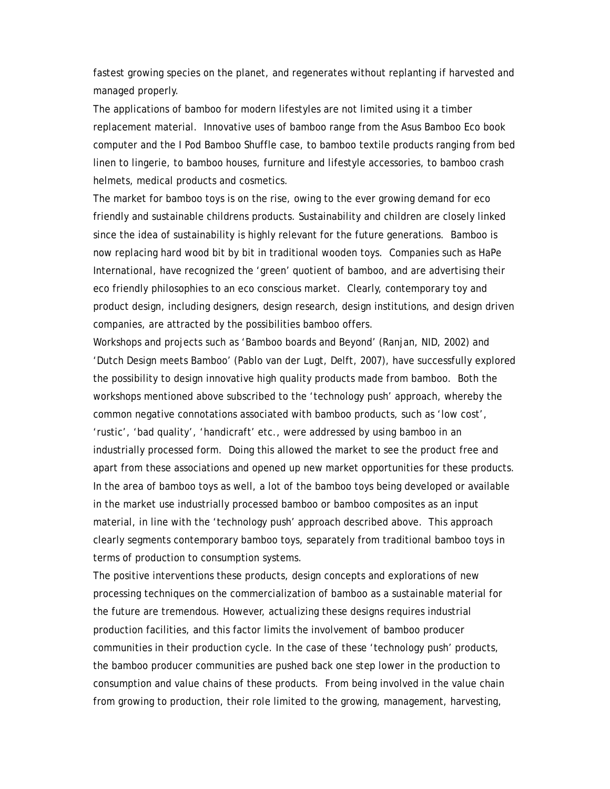fastest growing species on the planet, and regenerates without replanting if harvested and managed properly.

The applications of bamboo for modern lifestyles are not limited using it a timber replacement material. Innovative uses of bamboo range from the Asus Bamboo Eco book computer and the I Pod Bamboo Shuffle case, to bamboo textile products ranging from bed linen to lingerie, to bamboo houses, furniture and lifestyle accessories, to bamboo crash helmets, medical products and cosmetics.

The market for bamboo toys is on the rise, owing to the ever growing demand for eco friendly and sustainable childrens products. Sustainability and children are closely linked since the idea of sustainability is highly relevant for the future generations. Bamboo is now replacing hard wood bit by bit in traditional wooden toys. Companies such as HaPe International, have recognized the 'green' quotient of bamboo, and are advertising their eco friendly philosophies to an eco conscious market. Clearly, contemporary toy and product design, including designers, design research, design institutions, and design driven companies, are attracted by the possibilities bamboo offers.

Workshops and projects such as 'Bamboo boards and Beyond' (Ranjan, NID, 2002) and 'Dutch Design meets Bamboo' (Pablo van der Lugt, Delft, 2007), have successfully explored the possibility to design innovative high quality products made from bamboo. Both the workshops mentioned above subscribed to the 'technology push' approach, whereby the common negative connotations associated with bamboo products, such as 'low cost', 'rustic', 'bad quality', 'handicraft' etc., were addressed by using bamboo in an industrially processed form. Doing this allowed the market to see the product free and apart from these associations and opened up new market opportunities for these products. In the area of bamboo toys as well, a lot of the bamboo toys being developed or available in the market use industrially processed bamboo or bamboo composites as an input material, in line with the 'technology push' approach described above. This approach clearly segments contemporary bamboo toys, separately from traditional bamboo toys in terms of production to consumption systems.

The positive interventions these products, design concepts and explorations of new processing techniques on the commercialization of bamboo as a sustainable material for the future are tremendous. However, actualizing these designs requires industrial production facilities, and this factor limits the involvement of bamboo producer communities in their production cycle. In the case of these 'technology push' products, the bamboo producer communities are pushed back one step lower in the production to consumption and value chains of these products. From being involved in the value chain from growing to production, their role limited to the growing, management, harvesting,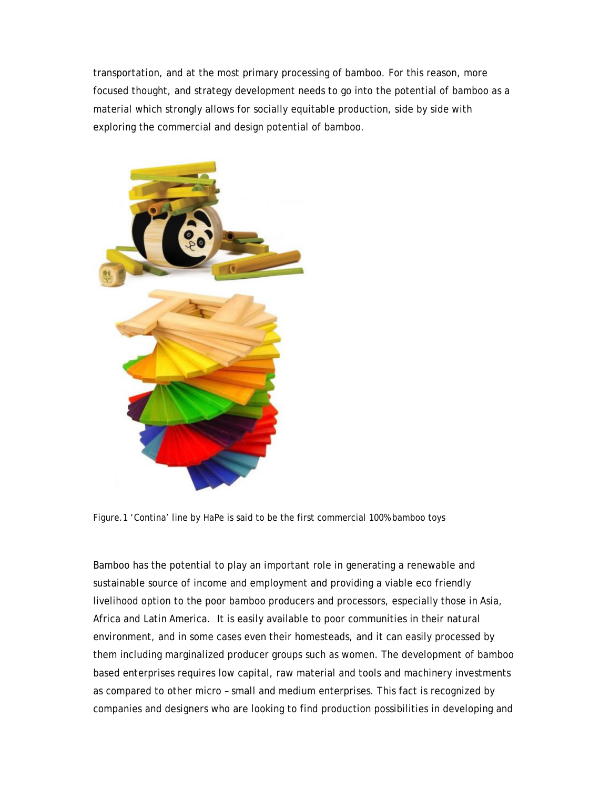transportation, and at the most primary processing of bamboo. For this reason, more focused thought, and strategy development needs to go into the potential of bamboo as a material which strongly allows for socially equitable production, side by side with exploring the commercial and design potential of bamboo.



Figure.1 'Contina' line by HaPe is said to be the first commercial 100% bamboo toys

Bamboo has the potential to play an important role in generating a renewable and sustainable source of income and employment and providing a viable eco friendly livelihood option to the poor bamboo producers and processors, especially those in Asia, Africa and Latin America. It is easily available to poor communities in their natural environment, and in some cases even their homesteads, and it can easily processed by them including marginalized producer groups such as women. The development of bamboo based enterprises requires low capital, raw material and tools and machinery investments as compared to other micro – small and medium enterprises. This fact is recognized by companies and designers who are looking to find production possibilities in developing and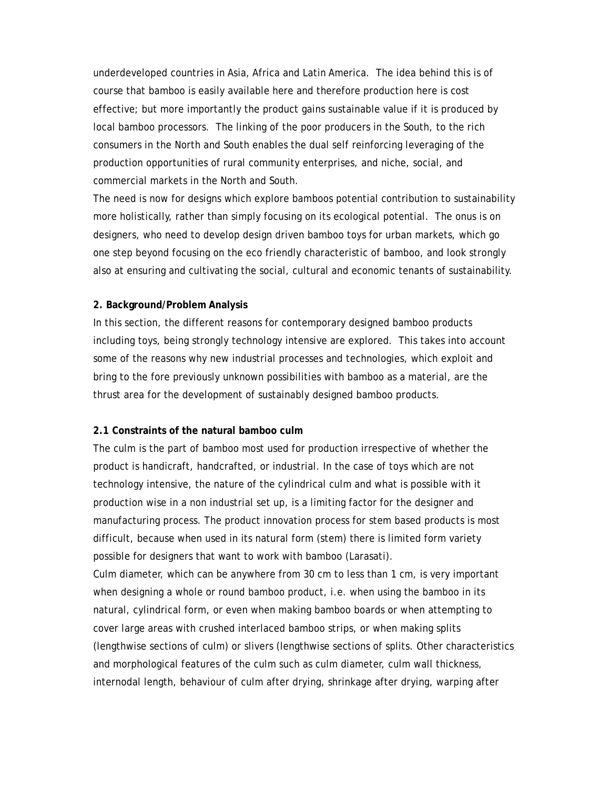underdeveloped countries in Asia, Africa and Latin America. The idea behind this is of course that bamboo is easily available here and therefore production here is cost effective; but more importantly the product gains sustainable value if it is produced by local bamboo processors. The linking of the poor producers in the South, to the rich consumers in the North and South enables the dual self reinforcing leveraging of the production opportunities of rural community enterprises, and niche, social, and commercial markets in the North and South.

The need is now for designs which explore bamboos potential contribution to sustainability more holistically, rather than simply focusing on its ecological potential. The onus is on designers, who need to develop design driven bamboo toys for urban markets, which go one step beyond focusing on the eco friendly characteristic of bamboo, and look strongly also at ensuring and cultivating the social, cultural and economic tenants of sustainability.

#### **2. Background/Problem Analysis**

In this section, the different reasons for contemporary designed bamboo products including toys, being strongly technology intensive are explored. This takes into account some of the reasons why new industrial processes and technologies, which exploit and bring to the fore previously unknown possibilities with bamboo as a material, are the thrust area for the development of sustainably designed bamboo products.

#### **2.1 Constraints of the natural bamboo culm**

The culm is the part of bamboo most used for production irrespective of whether the product is handicraft, handcrafted, or industrial. In the case of toys which are not technology intensive, the nature of the cylindrical culm and what is possible with it production wise in a non industrial set up, is a limiting factor for the designer and manufacturing process. The product innovation process for stem based products is most difficult, because when used in its natural form (stem) there is limited form variety possible for designers that want to work with bamboo (Larasati).

Culm diameter, which can be anywhere from 30 cm to less than 1 cm, is very important when designing a whole or round bamboo product, i.e. when using the bamboo in its natural, cylindrical form, or even when making bamboo boards or when attempting to cover large areas with crushed interlaced bamboo strips, or when making splits (lengthwise sections of culm) or slivers (lengthwise sections of splits. Other characteristics and morphological features of the culm such as culm diameter, culm wall thickness, internodal length, behaviour of culm after drying, shrinkage after drying, warping after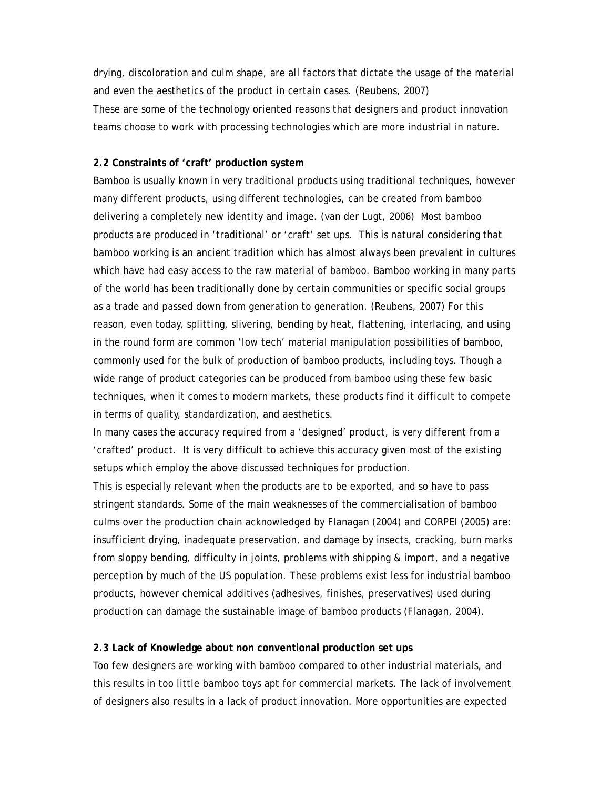drying, discoloration and culm shape, are all factors that dictate the usage of the material and even the aesthetics of the product in certain cases. (Reubens, 2007) These are some of the technology oriented reasons that designers and product innovation teams choose to work with processing technologies which are more industrial in nature.

#### **2.2 Constraints of 'craft' production system**

Bamboo is usually known in very traditional products using traditional techniques, however many different products, using different technologies, can be created from bamboo delivering a completely new identity and image. (van der Lugt, 2006) Most bamboo products are produced in 'traditional' or 'craft' set ups. This is natural considering that bamboo working is an ancient tradition which has almost always been prevalent in cultures which have had easy access to the raw material of bamboo. Bamboo working in many parts of the world has been traditionally done by certain communities or specific social groups as a trade and passed down from generation to generation. (Reubens, 2007) For this reason, even today, splitting, slivering, bending by heat, flattening, interlacing, and using in the round form are common 'low tech' material manipulation possibilities of bamboo, commonly used for the bulk of production of bamboo products, including toys. Though a wide range of product categories can be produced from bamboo using these few basic techniques, when it comes to modern markets, these products find it difficult to compete in terms of quality, standardization, and aesthetics.

In many cases the accuracy required from a 'designed' product, is very different from a 'crafted' product. It is very difficult to achieve this accuracy given most of the existing setups which employ the above discussed techniques for production.

This is especially relevant when the products are to be exported, and so have to pass stringent standards. Some of the main weaknesses of the commercialisation of bamboo culms over the production chain acknowledged by Flanagan (2004) and CORPEI (2005) are: insufficient drying, inadequate preservation, and damage by insects, cracking, burn marks from sloppy bending, difficulty in joints, problems with shipping & import, and a negative perception by much of the US population. These problems exist less for industrial bamboo products, however chemical additives (adhesives, finishes, preservatives) used during production can damage the sustainable image of bamboo products (Flanagan, 2004).

#### **2.3 Lack of Knowledge about non conventional production set ups**

Too few designers are working with bamboo compared to other industrial materials, and this results in too little bamboo toys apt for commercial markets. The lack of involvement of designers also results in a lack of product innovation. More opportunities are expected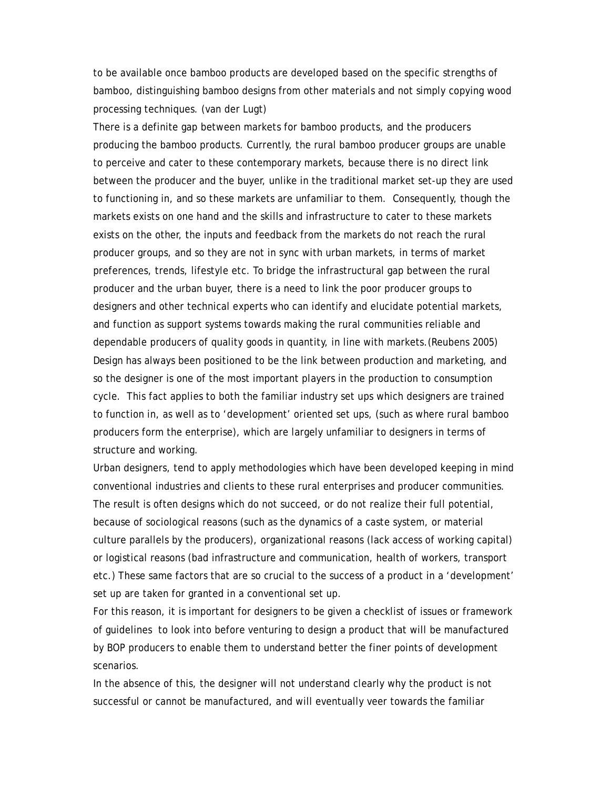to be available once bamboo products are developed based on the specific strengths of bamboo, distinguishing bamboo designs from other materials and not simply copying wood processing techniques. (van der Lugt)

There is a definite gap between markets for bamboo products, and the producers producing the bamboo products. Currently, the rural bamboo producer groups are unable to perceive and cater to these contemporary markets, because there is no direct link between the producer and the buyer, unlike in the traditional market set-up they are used to functioning in, and so these markets are unfamiliar to them. Consequently, though the markets exists on one hand and the skills and infrastructure to cater to these markets exists on the other, the inputs and feedback from the markets do not reach the rural producer groups, and so they are not in sync with urban markets, in terms of market preferences, trends, lifestyle etc. To bridge the infrastructural gap between the rural producer and the urban buyer, there is a need to link the poor producer groups to designers and other technical experts who can identify and elucidate potential markets, and function as support systems towards making the rural communities reliable and dependable producers of quality goods in quantity, in line with markets.(Reubens 2005) Design has always been positioned to be the link between production and marketing, and so the designer is one of the most important players in the production to consumption cycle. This fact applies to both the familiar industry set ups which designers are trained to function in, as well as to 'development' oriented set ups, (such as where rural bamboo producers form the enterprise), which are largely unfamiliar to designers in terms of structure and working.

Urban designers, tend to apply methodologies which have been developed keeping in mind conventional industries and clients to these rural enterprises and producer communities. The result is often designs which do not succeed, or do not realize their full potential, because of sociological reasons (such as the dynamics of a caste system, or material culture parallels by the producers), organizational reasons (lack access of working capital) or logistical reasons (bad infrastructure and communication, health of workers, transport etc.) These same factors that are so crucial to the success of a product in a 'development' set up are taken for granted in a conventional set up.

For this reason, it is important for designers to be given a checklist of issues or framework of guidelines to look into before venturing to design a product that will be manufactured by BOP producers to enable them to understand better the finer points of development scenarios.

In the absence of this, the designer will not understand clearly why the product is not successful or cannot be manufactured, and will eventually veer towards the familiar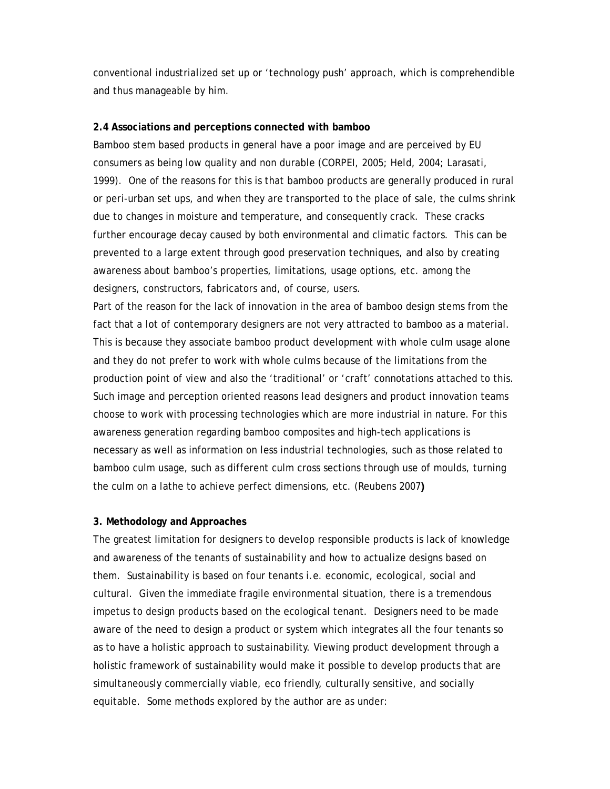conventional industrialized set up or 'technology push' approach, which is comprehendible and thus manageable by him.

#### **2.4 Associations and perceptions connected with bamboo**

Bamboo stem based products in general have a poor image and are perceived by EU consumers as being low quality and non durable (CORPEI, 2005; Held, 2004; Larasati, 1999). One of the reasons for this is that bamboo products are generally produced in rural or peri-urban set ups, and when they are transported to the place of sale, the culms shrink due to changes in moisture and temperature, and consequently crack. These cracks further encourage decay caused by both environmental and climatic factors. This can be prevented to a large extent through good preservation techniques, and also by creating awareness about bamboo's properties, limitations, usage options, etc. among the designers, constructors, fabricators and, of course, users.

Part of the reason for the lack of innovation in the area of bamboo design stems from the fact that a lot of contemporary designers are not very attracted to bamboo as a material. This is because they associate bamboo product development with whole culm usage alone and they do not prefer to work with whole culms because of the limitations from the production point of view and also the 'traditional' or 'craft' connotations attached to this. Such image and perception oriented reasons lead designers and product innovation teams choose to work with processing technologies which are more industrial in nature. For this awareness generation regarding bamboo composites and high-tech applications is necessary as well as information on less industrial technologies, such as those related to bamboo culm usage, such as different culm cross sections through use of moulds, turning the culm on a lathe to achieve perfect dimensions, etc. (Reubens 2007**)** 

#### **3. Methodology and Approaches**

The greatest limitation for designers to develop responsible products is lack of knowledge and awareness of the tenants of sustainability and how to actualize designs based on them. Sustainability is based on four tenants i.e. economic, ecological, social and cultural. Given the immediate fragile environmental situation, there is a tremendous impetus to design products based on the ecological tenant. Designers need to be made aware of the need to design a product or system which integrates all the four tenants so as to have a holistic approach to sustainability. Viewing product development through a holistic framework of sustainability would make it possible to develop products that are simultaneously commercially viable, eco friendly, culturally sensitive, and socially equitable. Some methods explored by the author are as under: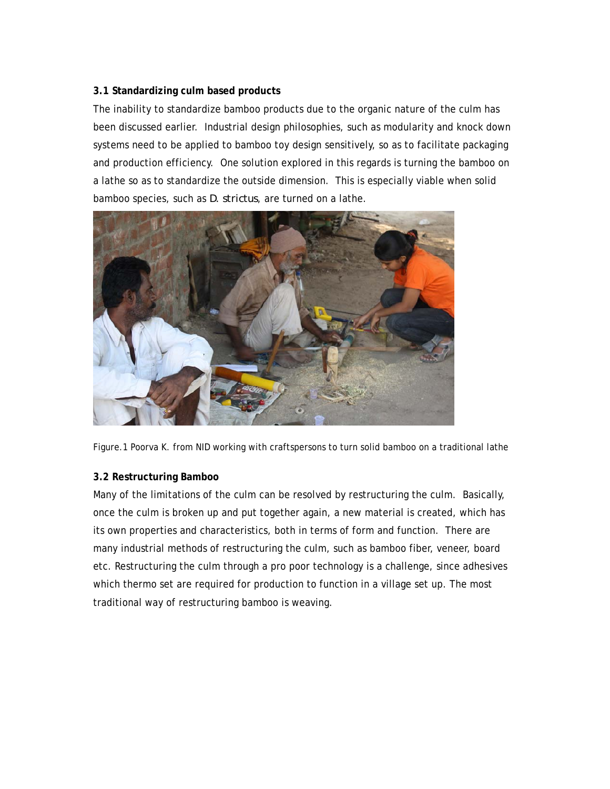## **3.1 Standardizing culm based products**

The inability to standardize bamboo products due to the organic nature of the culm has been discussed earlier. Industrial design philosophies, such as modularity and knock down systems need to be applied to bamboo toy design sensitively, so as to facilitate packaging and production efficiency. One solution explored in this regards is turning the bamboo on a lathe so as to standardize the outside dimension. This is especially viable when solid bamboo species, such as *D. strictus*, are turned on a lathe.



Figure.1 Poorva K. from NID working with craftspersons to turn solid bamboo on a traditional lathe

## **3.2 Restructuring Bamboo**

Many of the limitations of the culm can be resolved by restructuring the culm. Basically, once the culm is broken up and put together again, a new material is created, which has its own properties and characteristics, both in terms of form and function. There are many industrial methods of restructuring the culm, such as bamboo fiber, veneer, board etc. Restructuring the culm through a pro poor technology is a challenge, since adhesives which thermo set are required for production to function in a village set up. The most traditional way of restructuring bamboo is weaving.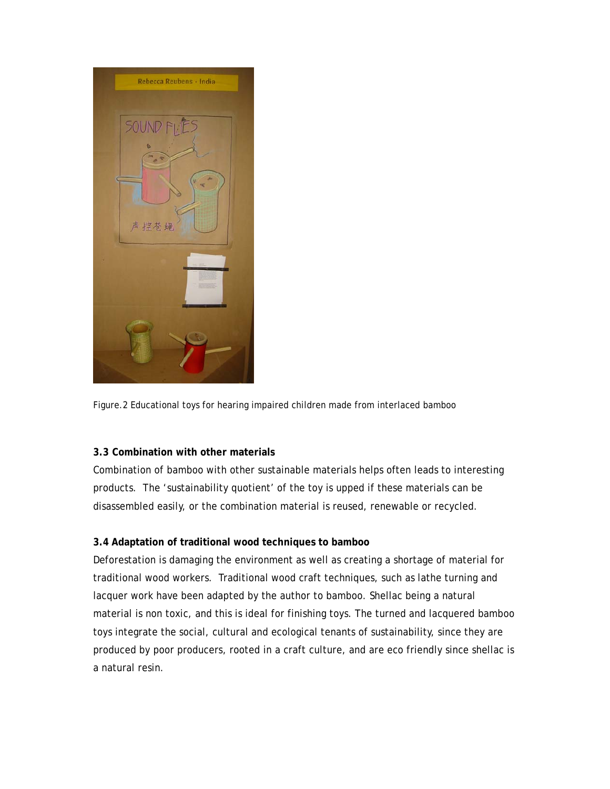

Figure.2 Educational toys for hearing impaired children made from interlaced bamboo

## **3.3 Combination with other materials**

Combination of bamboo with other sustainable materials helps often leads to interesting products. The 'sustainability quotient' of the toy is upped if these materials can be disassembled easily, or the combination material is reused, renewable or recycled.

## **3.4 Adaptation of traditional wood techniques to bamboo**

Deforestation is damaging the environment as well as creating a shortage of material for traditional wood workers. Traditional wood craft techniques, such as lathe turning and lacquer work have been adapted by the author to bamboo. Shellac being a natural material is non toxic, and this is ideal for finishing toys. The turned and lacquered bamboo toys integrate the social, cultural and ecological tenants of sustainability, since they are produced by poor producers, rooted in a craft culture, and are eco friendly since shellac is a natural resin.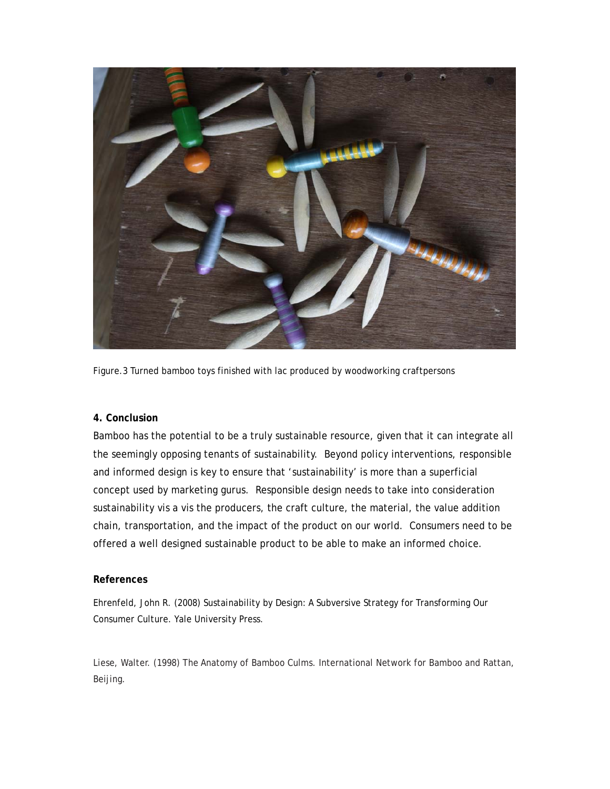

Figure.3 Turned bamboo toys finished with lac produced by woodworking craftpersons

#### **4. Conclusion**

Bamboo has the potential to be a truly sustainable resource, given that it can integrate all the seemingly opposing tenants of sustainability. Beyond policy interventions, responsible and informed design is key to ensure that 'sustainability' is more than a superficial concept used by marketing gurus. Responsible design needs to take into consideration sustainability vis a vis the producers, the craft culture, the material, the value addition chain, transportation, and the impact of the product on our world. Consumers need to be offered a well designed sustainable product to be able to make an informed choice.

#### **References**

Ehrenfeld, John R. (2008) Sustainability by Design: A Subversive Strategy for Transforming Our Consumer Culture. Yale University Press.

Liese, Walter. (1998) The Anatomy of Bamboo Culms. International Network for Bamboo and Rattan, Beijing.